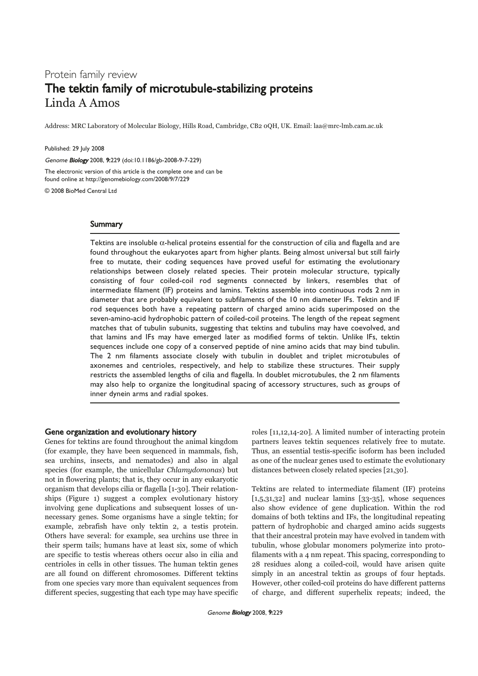# Protein family review The tektin family of microtubule-stabilizing proteins Linda A Amos

Address: MRC Laboratory of Molecular Biology, Hills Road, Cambridge, CB2 0QH, UK. Email: laa@mrc-lmb.cam.ac.uk

Published: 29 July 2008

Genome Biology 2008, 9:229 (doi:10.1186/gb-2008-9-7-229)

The electronic version of this article is the complete one and can be found online at http://genomebiology.com/2008/9/7/229

© 2008 BioMed Central Ltd

## **Summary**

Tektins are insoluble α-helical proteins essential for the construction of cilia and flagella and are found throughout the eukaryotes apart from higher plants. Being almost universal but still fairly free to mutate, their coding sequences have proved useful for estimating the evolutionary relationships between closely related species. Their protein molecular structure, typically consisting of four coiled-coil rod segments connected by linkers, resembles that of intermediate filament (IF) proteins and lamins. Tektins assemble into continuous rods 2 nm in diameter that are probably equivalent to subfilaments of the 10 nm diameter IFs. Tektin and IF rod sequences both have a repeating pattern of charged amino acids superimposed on the seven-amino-acid hydrophobic pattern of coiled-coil proteins. The length of the repeat segment matches that of tubulin subunits, suggesting that tektins and tubulins may have coevolved, and that lamins and IFs may have emerged later as modified forms of tektin. Unlike IFs, tektin sequences include one copy of a conserved peptide of nine amino acids that may bind tubulin. The 2 nm filaments associate closely with tubulin in doublet and triplet microtubules of axonemes and centrioles, respectively, and help to stabilize these structures. Their supply restricts the assembled lengths of cilia and flagella. In doublet microtubules, the 2 nm filaments may also help to organize the longitudinal spacing of accessory structures, such as groups of inner dynein arms and radial spokes.

## Gene organization and evolutionary history

Genes for tektins are found throughout the animal kingdom (for example, they have been sequenced in mammals, fish, sea urchins, insects, and nematodes) and also in algal species (for example, the unicellular Chlamydomonas) but not in flowering plants; that is, they occur in any eukaryotic organism that develops cilia or flagella [1-30]. Their relationships (Figure 1) suggest a complex evolutionary history involving gene duplications and subsequent losses of unnecessary genes. Some organisms have a single tektin; for example, zebrafish have only tektin 2, a testis protein. Others have several: for example, sea urchins use three in their sperm tails; humans have at least six, some of which are specific to testis whereas others occur also in cilia and centrioles in cells in other tissues. The human tektin genes are all found on different chromosomes. Different tektins from one species vary more than equivalent sequences from different species, suggesting that each type may have specific roles [11,12,14-20]. A limited number of interacting protein partners leaves tektin sequences relatively free to mutate. Thus, an essential testis-specific isoform has been included as one of the nuclear genes used to estimate the evolutionary distances between closely related species [21,30].

Tektins are related to intermediate filament (IF) proteins [1,5,31,32] and nuclear lamins [33-35], whose sequences also show evidence of gene duplication. Within the rod domains of both tektins and IFs, the longitudinal repeating pattern of hydrophobic and charged amino acids suggests that their ancestral protein may have evolved in tandem with tubulin, whose globular monomers polymerize into protofilaments with a 4 nm repeat. This spacing, corresponding to 28 residues along a coiled-coil, would have arisen quite simply in an ancestral tektin as groups of four heptads. However, other coiled-coil proteins do have different patterns of charge, and different superhelix repeats; indeed, the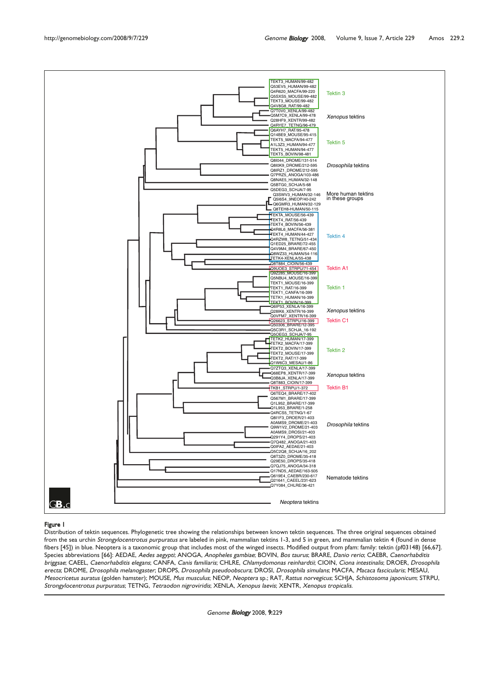

### Figure 1

Distribution of tektin sequences. Phylogenetic tree showing the relationships between known tektin sequences. The three original sequences obtained from the sea urchin Strongylocentrotus purpuratus are labeled in pink, mammalian tektins 1-3, and 5 in green, and mammalian tektin 4 (found in dense fibers [45]) in blue. Neoptera is a taxonomic group that includes most of the winged insects. Modified output from pfam: family: tektin (pf03148) [66,67]. Species abbreviations [66]: AEDAE, Aedes aegypti; ANOGA, Anopheles gambiae; BOVIN, Bos taurus; BRARE, Danio rerio; CAEBR, Caenorhabditis briggsae; CAEEL, Caenorhabditis elegans; CANFA, Canis familiaris; CHLRE, Chlamydomonas reinhardtii; CIOIN, Ciona intestinalis; DROER, Drosophila erecta; DROME, Drosophila melanogaster; DROPS, Drosophila pseudoobscura; DROSI, Drosophila simulans; MACFA, Macaca fascicularis; MESAU, Mesocricetus auratus (golden hamster); MOUSE, Mus musculus; NEOP, Neoptera sp.; RAT, Rattus norvegicus; SCHJA, Schistosoma japonicum; STRPU, Strongylocentrotus purpuratus; TETNG, Tetraodon nigroviridis; XENLA, Xenopus laevis; XENTR, Xenopus tropicalis.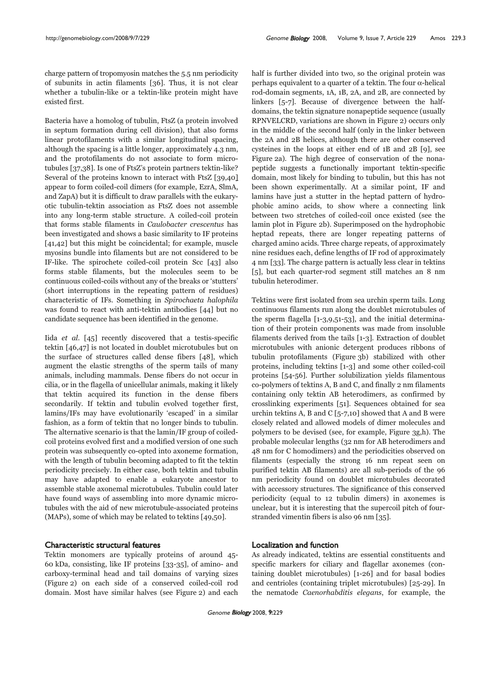charge pattern of tropomyosin matches the 5.5 nm periodicity of subunits in actin filaments [36]. Thus, it is not clear whether a tubulin-like or a tektin-like protein might have existed first.

Bacteria have a homolog of tubulin, FtsZ (a protein involved in septum formation during cell division), that also forms linear protofilaments with a similar longitudinal spacing, although the spacing is a little longer, approximately 4.3 nm, and the protofilaments do not associate to form microtubules [37,38]. Is one of FtsZ's protein partners tektin-like? Several of the proteins known to interact with FtsZ [39,40] appear to form coiled-coil dimers (for example, EzrA, SlmA, and ZapA) but it is difficult to draw parallels with the eukaryotic tubulin-tektin association as FtsZ does not assemble into any long-term stable structure. A coiled-coil protein that forms stable filaments in Caulobacter crescentus has been investigated and shows a basic similarity to IF proteins [41,42] but this might be coincidental; for example, muscle myosins bundle into filaments but are not considered to be IF-like. The spirochete coiled-coil protein Scc [43] also forms stable filaments, but the molecules seem to be continuous coiled-coils without any of the breaks or 'stutters' (short interruptions in the repeating pattern of residues) characteristic of IFs. Something in Spirochaeta halophila was found to react with anti-tektin antibodies [44] but no candidate sequence has been identified in the genome.

Iida et al. [45] recently discovered that a testis-specific tektin [46,47] is not located in doublet microtubules but on the surface of structures called dense fibers [48], which augment the elastic strengths of the sperm tails of many animals, including mammals. Dense fibers do not occur in cilia, or in the flagella of unicellular animals, making it likely that tektin acquired its function in the dense fibers secondarily. If tektin and tubulin evolved together first, lamins/IFs may have evolutionarily 'escaped' in a similar fashion, as a form of tektin that no longer binds to tubulin. The alternative scenario is that the lamin/IF group of coiledcoil proteins evolved first and a modified version of one such protein was subsequently co-opted into axoneme formation, with the length of tubulin becoming adapted to fit the tektin periodicity precisely. In either case, both tektin and tubulin may have adapted to enable a eukaryote ancestor to assemble stable axonemal microtubules. Tubulin could later have found ways of assembling into more dynamic microtubules with the aid of new microtubule-associated proteins (MAPs), some of which may be related to tektins [49,50].

## Characteristic structural features

Tektin monomers are typically proteins of around 45- 60 kDa, consisting, like IF proteins [33-35], of amino- and carboxy-terminal head and tail domains of varying sizes (Figure 2) on each side of a conserved coiled-coil rod domain. Most have similar halves (see Figure 2) and each half is further divided into two, so the original protein was perhaps equivalent to a quarter of a tektin. The four α-helical rod-domain segments, 1A, 1B, 2A, and 2B, are connected by linkers [5-7]. Because of divergence between the halfdomains, the tektin signature nonapeptide sequence (usually RPNVELCRD, variations are shown in Figure 2) occurs only in the middle of the second half (only in the linker between the 2A and 2B helices, although there are other conserved cysteines in the loops at either end of 1B and 2B [9], see Figure 2a). The high degree of conservation of the nonapeptide suggests a functionally important tektin-specific domain, most likely for binding to tubulin, but this has not been shown experimentally. At a similar point, IF and lamins have just a stutter in the heptad pattern of hydrophobic amino acids, to show where a connecting link between two stretches of coiled-coil once existed (see the lamin plot in Figure 2b). Superimposed on the hydrophobic heptad repeats, there are longer repeating patterns of charged amino acids. Three charge repeats, of approximately nine residues each, define lengths of IF rod of approximately 4 nm [33]. The charge pattern is actually less clear in tektins [5], but each quarter-rod segment still matches an 8 nm tubulin heterodimer.

Tektins were first isolated from sea urchin sperm tails. Long continuous filaments run along the doublet microtubules of the sperm flagella [1-3,9,51-53], and the initial determination of their protein components was made from insoluble filaments derived from the tails [1-3]. Extraction of doublet microtubules with anionic detergent produces ribbons of tubulin protofilaments (Figure 3b) stabilized with other proteins, including tektins [1-3] and some other coiled-coil proteins [54-56]. Further solubilization yields filamentous co-polymers of tektins A, B and C, and finally 2 nm filaments containing only tektin AB heterodimers, as confirmed by crosslinking experiments [51]. Sequences obtained for sea urchin tektins A, B and C [5-7,10] showed that A and B were closely related and allowed models of dimer molecules and polymers to be devised (see, for example, Figure 3g,h). The probable molecular lengths (32 nm for AB heterodimers and 48 nm for C homodimers) and the periodicities observed on filaments (especially the strong 16 nm repeat seen on purified tektin AB filaments) are all sub-periods of the 96 nm periodicity found on doublet microtubules decorated with accessory structures. The significance of this conserved periodicity (equal to 12 tubulin dimers) in axonemes is unclear, but it is interesting that the supercoil pitch of fourstranded vimentin fibers is also 96 nm [35].

## Localization and function

As already indicated, tektins are essential constituents and specific markers for ciliary and flagellar axonemes (containing doublet microtubules) [1-26] and for basal bodies and centrioles (containing triplet microtubules) [25-29]. In the nematode Caenorhabditis elegans, for example, the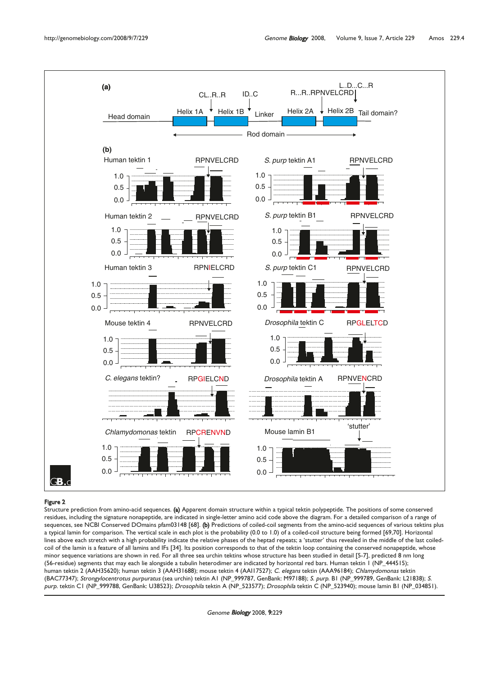

### Figure 2

Structure prediction from amino-acid sequences. (a) Apparent domain structure within a typical tektin polypeptide. The positions of some conserved residues, including the signature nonapeptide, are indicated in single-letter amino acid code above the diagram. For a detailed comparison of a range of sequences, see NCBI Conserved DOmains pfam03148 [68]. (b) Predictions of coiled-coil segments from the amino-acid sequences of various tektins plus a typical lamin for comparison. The vertical scale in each plot is the probability (0.0 to 1.0) of a coiled-coil structure being formed [69,70]. Horizontal lines above each stretch with a high probability indicate the relative phases of the heptad repeats; a 'stutter' thus revealed in the middle of the last coiledcoil of the lamin is a feature of all lamins and IFs [34]. Its position corresponds to that of the tektin loop containing the conserved nonapeptide, whose minor sequence variations are shown in red. For all three sea urchin tektins whose structure has been studied in detail [5-7], predicted 8 nm long (56-residue) segments that may each lie alongside a tubulin heterodimer are indicated by horizontal red bars. Human tektin 1 (NP\_444515); human tektin 2 (AAH35620); human tektin 3 (AAH31688); mouse tektin 4 (AAI17527); *C. elegans* tektin (AAA96184); *Chlamydomonas* tektin (BAC77347); *Strongylocentrotus purpuratus* (sea urchin) tektin A1 (NP\_999787, GenBank: M97188); *S. purp*. B1 (NP\_999789, GenBank: L21838); *S*. purp. tektin C1 (NP\_999788, GenBank: U38523); Drosophila tektin A (NP\_523577); Drosophila tektin C (NP\_523940); mouse lamin B1 (NP\_034851).

Genome Biology 2008, 9:229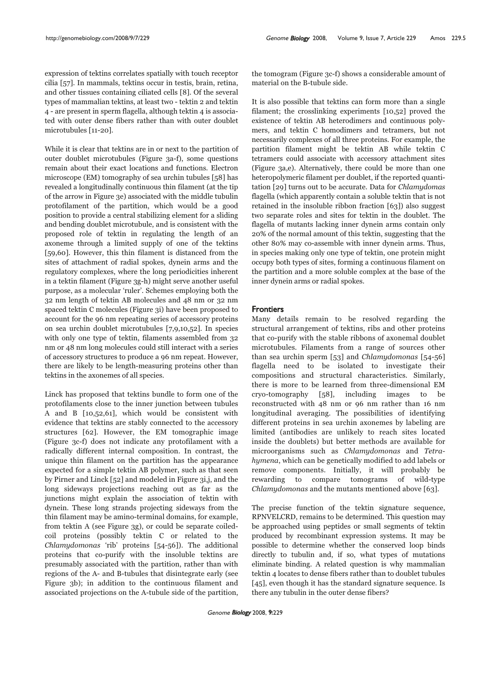expression of tektins correlates spatially with touch receptor cilia [57]. In mammals, tektins occur in testis, brain, retina, and other tissues containing ciliated cells [8]. Of the several types of mammalian tektins, at least two - tektin 2 and tektin 4 - are present in sperm flagella, although tektin 4 is associated with outer dense fibers rather than with outer doublet microtubules [11-20].

While it is clear that tektins are in or next to the partition of outer doublet microtubules (Figure 3a-f), some questions remain about their exact locations and functions. Electron microscope (EM) tomography of sea urchin tubules [58] has revealed a longitudinally continuous thin filament (at the tip of the arrow in Figure 3e) associated with the middle tubulin protofilament of the partition, which would be a good position to provide a central stabilizing element for a sliding and bending doublet microtubule, and is consistent with the proposed role of tektin in regulating the length of an axoneme through a limited supply of one of the tektins [59,60]. However, this thin filament is distanced from the sites of attachment of radial spokes, dynein arms and the regulatory complexes, where the long periodicities inherent in a tektin filament (Figure 3g-h) might serve another useful purpose, as a molecular 'ruler'. Schemes employing both the 32 nm length of tektin AB molecules and 48 nm or 32 nm spaced tektin C molecules (Figure 3i) have been proposed to account for the 96 nm repeating series of accessory proteins on sea urchin doublet microtubules [7,9,10,52]. In species with only one type of tektin, filaments assembled from 32 nm or 48 nm long molecules could still interact with a series of accessory structures to produce a 96 nm repeat. However, there are likely to be length-measuring proteins other than tektins in the axonemes of all species.

Linck has proposed that tektins bundle to form one of the protofilaments close to the inner junction between tubules A and B [10,52,61], which would be consistent with evidence that tektins are stably connected to the accessory structures [62]. However, the EM tomographic image (Figure 3c-f) does not indicate any protofilament with a radically different internal composition. In contrast, the unique thin filament on the partition has the appearance expected for a simple tektin AB polymer, such as that seen by Pirner and Linck [52] and modeled in Figure 3i,j, and the long sideways projections reaching out as far as the junctions might explain the association of tektin with dynein. These long strands projecting sideways from the thin filament may be amino-terminal domains, for example, from tektin A (see Figure 3g), or could be separate coiledcoil proteins (possibly tektin C or related to the Chlamydomonas 'rib' proteins [54-56]). The additional proteins that co-purify with the insoluble tektins are presumably associated with the partition, rather than with regions of the A- and B-tubules that disintegrate early (see Figure 3b); in addition to the continuous filament and associated projections on the A-tubule side of the partition, the tomogram (Figure 3c-f) shows a considerable amount of material on the B-tubule side.

It is also possible that tektins can form more than a single filament; the crosslinking experiments [10,52] proved the existence of tektin AB heterodimers and continuous polymers, and tektin C homodimers and tetramers, but not necessarily complexes of all three proteins. For example, the partition filament might be tektin AB while tektin C tetramers could associate with accessory attachment sites (Figure 3a,e). Alternatively, there could be more than one heteropolymeric filament per doublet, if the reported quantitation [29] turns out to be accurate. Data for Chlamydomas flagella (which apparently contain a soluble tektin that is not retained in the insoluble ribbon fraction [63]) also suggest two separate roles and sites for tektin in the doublet. The flagella of mutants lacking inner dynein arms contain only 20% of the normal amount of this tektin, suggesting that the other 80% may co-assemble with inner dynein arms. Thus, in species making only one type of tektin, one protein might occupy both types of sites, forming a continuous filament on the partition and a more soluble complex at the base of the inner dynein arms or radial spokes.

## **Frontiers**

Many details remain to be resolved regarding the structural arrangement of tektins, ribs and other proteins that co-purify with the stable ribbons of axonemal doublet microtubules. Filaments from a range of sources other than sea urchin sperm [53] and Chlamydomonas [54-56] flagella need to be isolated to investigate their compositions and structural characteristics. Similarly, there is more to be learned from three-dimensional EM cryo-tomography [58], including images to be reconstructed with 48 nm or 96 nm rather than 16 nm longitudinal averaging. The possibilities of identifying different proteins in sea urchin axonemes by labeling are limited (antibodies are unlikely to reach sites located inside the doublets) but better methods are available for microorganisms such as Chlamydomonas and Tetrahymena, which can be genetically modified to add labels or remove components. Initially, it will probably be rewarding to compare tomograms of wild-type Chlamydomonas and the mutants mentioned above [63].

The precise function of the tektin signature sequence, RPNVELCRD, remains to be determined. This question may be approached using peptides or small segments of tektin produced by recombinant expression systems. It may be possible to determine whether the conserved loop binds directly to tubulin and, if so, what types of mutations eliminate binding. A related question is why mammalian tektin 4 locates to dense fibers rather than to doublet tubules [45], even though it has the standard signature sequence. Is there any tubulin in the outer dense fibers?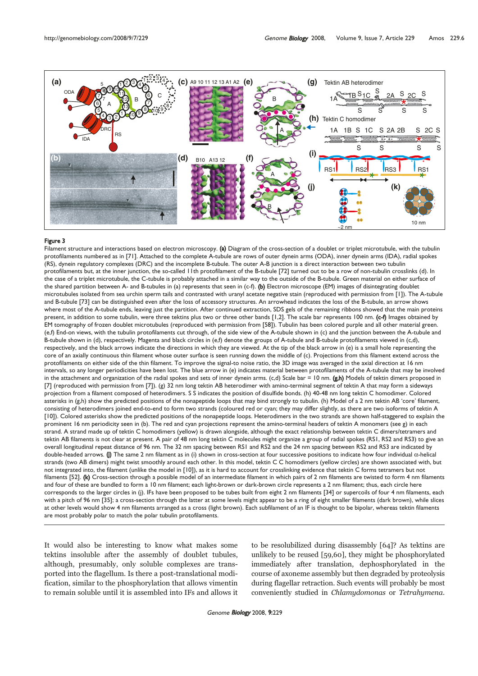

### Figure 3

Filament structure and interactions based on electron microscopy. (a) Diagram of the cross-section of a doublet or triplet microtubule, with the tubulin protofilaments numbered as in [71]. Attached to the complete A-tubule are rows of outer dynein arms (ODA), inner dynein arms (IDA), radial spokes (RS), dynein regulatory complexes (DRC) and the incomplete B-tubule. The outer A-B junction is a direct interaction between two tubulin protofilaments but, at the inner junction, the so-called 11th protofilament of the B-tubule [72] turned out to be a row of non-tubulin crosslinks (d). In the case of a triplet microtubule, the C-tubule is probably attached in a similar way to the outside of the B-tubule. Green material on either surface of the shared partition between A- and B-tubules in (a) represents that seen in (c-f). (b) Electron microscope (EM) images of disintegrating doublet microtubules isolated from sea urchin sperm tails and contrasted with uranyl acetate negative stain (reproduced with permission from [1]). The A-tubule and B-tubule [73] can be distinguished even after the loss of accessory structures. An arrowhead indicates the loss of the B-tubule, an arrow shows where most of the A-tubule ends, leaving just the partition. After continued extraction, SDS gels of the remaining ribbons showed that the main proteins present, in addition to some tubulin, were three tektins plus two or three other bands [1,2]. The scale bar represents 100 nm. (c-f) Images obtained by EM tomography of frozen doublet microtubules (reproduced with permission from [58]). Tubulin has been colored purple and all other material green. (e,f) End-on views, with the tubulin protofilaments cut through, of the side view of the A-tubule shown in (c) and the junction between the A-tubule and B-tubule shown in (d), respectively. Magenta and black circles in (e,f) denote the groups of A-tubule and B-tubule protofilaments viewed in (c,d), respectively, and the black arrows indicate the directions in which they are viewed. At the tip of the black arrow in (e) is a small hole representing the core of an axially continuous thin filament whose outer surface is seen running down the middle of (c). Projections from this filament extend across the protofilaments on either side of the thin filament. To improve the signal-to noise ratio, the 3D image was averaged in the axial direction at 16 nm intervals, so any longer periodicities have been lost. The blue arrow in (e) indicates material between protofilaments of the A-tubule that may be involved in the attachment and organization of the radial spokes and sets of inner dynein arms. (c,d) Scale bar = 10 nm.  $(g,h)$  Models of tektin dimers proposed in [7] (reproduced with permission from [7]). (g) 32 nm long tektin AB heterodimer with amino-terminal segment of tektin A that may form a sideways projection from a filament composed of heterodimers. S S indicates the position of disulfide bonds. (h) 40-48 nm long tektin C homodimer. Colored asterisks in (g,h) show the predicted positions of the nonapeptide loops that may bind strongly to tubulin. (h) Model of a 2 nm tektin AB 'core' filament, consisting of heterodimers joined end-to-end to form two strands (coloured red or cyan; they may differ slightly, as there are two isoforms of tektin A [10]). Colored asterisks show the predicted positions of the nonapeptide loops. Heterodimers in the two strands are shown half-staggered to explain the prominent 16 nm periodicity seen in (b). The red and cyan projections represent the amino-terminal headers of tektin A monomers (see g) in each strand. A strand made up of tektin C homodimers (yellow) is drawn alongside, although the exact relationship between tektin C dimers/tetramers and tektin AB filaments is not clear at present. A pair of 48 nm long tektin C molecules might organize a group of radial spokes (RS1, RS2 and RS3) to give an overall longitudinal repeat distance of 96 nm. The 32 nm spacing between RS1 and RS2 and the 24 nm spacing between RS2 and RS3 are indicated by double-headed arrows. (j) The same 2 nm filament as in (i) shown in cross-section at four successive positions to indicate how four individual α-helical strands (two AB dimers) might twist smoothly around each other. In this model, tektin C C homodimers (yellow circles) are shown associated with, but not integrated into, the filament (unlike the model in [10]), as it is hard to account for crosslinking evidence that tektin C forms tetramers but not filaments [52]. (k) Cross-section through a possible model of an intermediate filament in which pairs of 2 nm filaments are twisted to form 4 nm filaments and four of these are bundled to form a 10 nm filament; each light-brown or dark-brown circle represents a 2 nm filament; thus, each circle here corresponds to the larger circles in (j). IFs have been proposed to be tubes built from eight 2 nm filaments [34] or supercoils of four 4 nm filaments, each with a pitch of 96 nm [35]; a cross-section through the latter at some levels might appear to be a ring of eight smaller filaments (dark brown), while slices at other levels would show 4 nm filaments arranged as a cross (light brown). Each subfilament of an IF is thought to be bipolar, whereas tektin filaments are most probably polar to match the polar tubulin protofilaments.

It would also be interesting to know what makes some tektins insoluble after the assembly of doublet tubules, although, presumably, only soluble complexes are transported into the flagellum. Is there a post-translational modification, similar to the phosphorylation that allows vimentin to remain soluble until it is assembled into IFs and allows it

to be resolubilized during disassembly [64]? As tektins are unlikely to be reused [59,60], they might be phosphorylated immediately after translation, dephosphorylated in the course of axoneme assembly but then degraded by proteolysis during flagellar retraction. Such events will probably be most conveniently studied in Chlamydomonas or Tetrahymena.

Genome Biology 2008, 9:229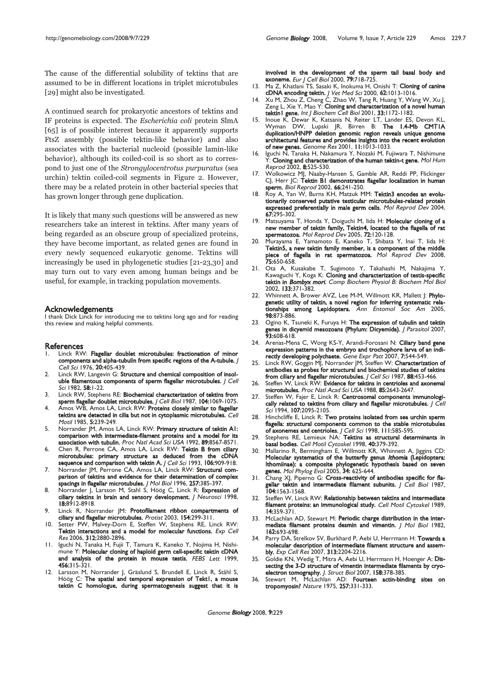The cause of the differential solubility of tektins that are assumed to be in different locations in triplet microtubules [29] might also be investigated.

A continued search for prokaryotic ancestors of tektins and IF proteins is expected. The Escherichia coli protein SlmA [65] is of possible interest because it apparently supports FtsZ assembly (possible tektin-like behavior) and also associates with the bacterial nucleoid (possible lamin-like behavior), although its coiled-coil is so short as to correspond to just one of the Strongylocentrotus purpuratus (sea urchin) tektin coiled-coil segments in Figure 2. However, there may be a related protein in other bacterial species that has grown longer through gene duplication.

It is likely that many such questions will be answered as new researchers take an interest in tektins. After many years of being regarded as an obscure group of specialized proteins, they have become important, as related genes are found in every newly sequenced eukaryotic genome. Tektins will increasingly be used in phylogenetic studies [21-23,30] and may turn out to vary even among human beings and be useful, for example, in tracking population movements.

### Acknowledgements

I thank Dick Linck for introducing me to tektins long ago and for reading this review and making helpful comments.

#### **References**

- Linck RW: Flagellar doublet microtubules: fractionation of minor components and alpha-tubulin from specific regions of the A-tubule. J  $Cell$  Sci 1976, 20:405-439.
- 2. Linck RW, Langevin G: Structure and chemical composition of insoluble filamentous components of sperm flagellar microtubules. / Cell Sci 1982, 58:1-22.
- 3. Linck RW, Stephens RE: Biochemical characterization of tektins from sperm flagellar doublet microtubules. J Cell Biol 1987, 104:1069-1075.
- 4. Amos WB, Amos LA, Linck RW: Proteins closely similar to flagellar tektins are detected in cilia but not in cytoplasmic microtubules. Cell Motil 1985, 5:239-249.
- 5. Norrander JM, Amos LA, Linck RW: Primary structure of tektin AI: comparison with intermediate-filament proteins and a model for its association with tubulin. Proc Natl Acad Sci USA 1992, 89:8567-8571.
- 6. Chen R, Perrone CA, Amos LA, Linck RW: Tektin B from ciliary microtubules: primary structure as deduced from the cDNA sequence and comparison with tektin A. J Cell Sci 1993, 106:909-918.
- 7. Norrander JM, Perrone CA, Amos LA, Linck RW: Structural comparison of tektins and evidence for their determination of complex spacings in flagellar microtubules. J Mol Biol 1996, 257:385-397.
- 8. Norrander J, Larsson M, Stahl S, Höög C, Linck R: Expression of ciliary tektins in brain and sensory development. J Neurosci 1998, 18:8912-8918.
- 9. Linck R, Norrander JM: Protofilament ribbon compartments of ciliary and flagellar microtubules. Protist 2003, 154:299-311.
- 10. Setter PW, Malvey-Dorn E, Steffen W, Stephens RE, Linck RW: Tektin interactions and a model for molecular functions. Exp Cell Res 2006, 312:2880-2896.
- 11. Iguchi N, Tanaka H, Fujii T, Tamura K, Kaneko Y, Nojima H, Nishimune Y: Molecular cloning of haploid germ cell-specific tektin cDNA and analysis of the protein in mouse testis. FEBS Lett 1999, 456:315-321.
- Larsson M, Norrander J, Gräslund S, Brundell E, Linck R, Ståhl S, Höög C: The spatial and temporal expression of Tekt1, a mouse tektin C homologue, during spermatogenesis suggest that it is

involved in the development of the sperm tail basal body and **axoneme.** Eur J Cell Biol 2000, **79:**718-725.

- 13. Ma Z, Khatlani TS, Sasaki K, Inokuma H, Onishi T: Cloning of canine cDNA encoding tektin. J Vet Med Sci 2000, 62:1013-1016.
- 14. Xu M, Zhou Z, Cheng C, Zhao W, Tang R, Huang Y, Wang W, Xu J, Zeng L, Xie Y, Mao Y: Cloning and characterization of a novel human tektin | gene. Int J Biochem Cell Biol 2001, 33:1172-1182.
- 15. Inoue K, Dewar K, Katsanis N, Reiter LT, Lander ES, Devon KL, Wyman DW, Lupski JR, Birren B: The 1.4-Mb CMT1A duplication/HNPP deletion genomic region reveals unique genome architectural features and provides insights into the recent evolution of new genes. Genome Res 2001, 11:1013-1033.
- 16. Iguchi N, Tanaka H, Nakamura Y, Nozaki M, Fujiwara T, Nishimune  $\breve{Y}$ : Cloning and characterization of the human tektin-t gene. Mol Hum Reprod 2002, 8:525-530.
- 17. Wolkowicz MJ, Naaby-Hansen S, Gamble AR, Reddi PP, Flickinger CJ, Herr JC: Tektin B1 demonstrates flagellar localization in human sperm. Biol Reprod 2002, 66:241-250.
- 18. Roy A, Yan W, Burns KH, Matzuk MM: Tektin3 encodes an evolutionarily conserved putative testicular microtubules-related protein expressed preferentially in male germ cells. Mol Reprod Dev 2004, 67:295-302.
- 19. Matsuyama T, Honda Y, Doiguchi M, Iida H: Molecular cloning of a new member of tektin family, Tektin4, located to the flagella of rat spermatozoa. Mol Reprod Dev 2005, 72:120-128.
- 20. Murayama E, Yamamoto E, Kaneko T, Shibata Y, Inai T, Iida H: Tektin5, a new tektin family member, is a component of the middle piece of flagella in rat spermatozoa. Mol Reprod Dev 2008, 75:650-658.
- 21. Ota A, Kusakabe T, Sugimoto Y, Takahashi M, Nakajima Y, Kawaguchi Y, Koga K: Cloning and characterization of testis-specific tektin in Bombyx mori. Comp Biochem Physiol B: Biochem Mol Biol 2002, 133:371-382.
- 22. Whinnett A, Brower AVZ, Lee M-M, Willmott KR, Mallett |: Phylogenetic utility of tektin, a novel region for inferring systematic relationships among Lepidoptera. Ann Entomol Soc Am 2005, 98:873-886.
- 23. Ogino K, Tsuneki K, Furuya H: The expression of tubulin and tektin genes in dicyemid mesozoans (Phylum: Dicyemida). J Parasitol 2007, 93:608-618.
- 24. Arenas-Mena C, Wong KS-Y, Arandi-Forosani N: Ciliary band gene expression patterns in the embryo and trochophore larva of an indirectly developing polychaete. Gene Expr Patt 2007, 7:544-549.
- 25. Linck RW, Goggin MJ, Norrander JM, Steffen W: Characterization of antibodies as probes for structural and biochemical studies of tektins from ciliary and flagellar microtubules. J Cell Sci 1987, 88:453-466.
- 26. Steffen W, Linck RW: Evidence for tektins in centrioles and axonemal microtubules. Proc Natl Acad Sci USA 1988, 85:2643-2647.
- 27. Steffen W, Fajer E, Linck R: Centrosomal components immunologically related to tektins from ciliary and flagellar microtubules. J Cell Sci 1994, 107:2095-2105
- Hinchcliffe E, Linck R: Two proteins isolated from sea urchin sperm flagella: structural components common to the stable microtubules of axonemes and centrioles. J Cell Sci 1998, 111:585-595.
- 29. Stephens RE, Lemieux NA: Tektins as structural determinants in basal bodies. Cell Motil Cytoskel 1998, 40:379-392.
- 30. Mallarino R, Bermingham E, Willmott KR, Whinnett A, Jiggins CD: Molecular systematics of the butterfly genus Ithomia (Lepidoptera: Ithomiinae): a composite phylogenetic hypothesis based on seven **genes.** Mol Phylog Evol 2005, **34:** 625-644.
- 31. Chang XJ, Piperno G: Cross-reactivity of antibodies specific for flagellar tektin and intermediate filament subunits. / Cell Biol 1987, 104:1563-1568
- 32. Steffen W, Linck RW: Relationship between tektins and intermediate filament proteins: an immunological study. Cell Motil Cytoskel 1989, 14:359-371.
- 33. McLachlan AD, Stewart M: Periodic charge distribution in the intermediate filament proteins desmin and vimentin. J Mol Biol 1982, 162:693-698.
- Parry DA, Strelkov SV, Burkhard P, Aebi U, Herrmann H: Towards a molecular description of intermediate filament structure and assembly. Exp Cell Res 2007, 313:2204-2216.
- 35. Goldie KN, Wedig T, Mitra A, Aebi U, Herrmann H, Hoenger A: Dissecting the 3-D structure of vimentin intermediate filaments by cryoelectron tomography. J. Struct Biol 2007, 158:378-385.
- 36. Stewart M, McLachlan AD: Fourteen actin-binding sites on tropomyosin? Nature 1975, 257:331-333.